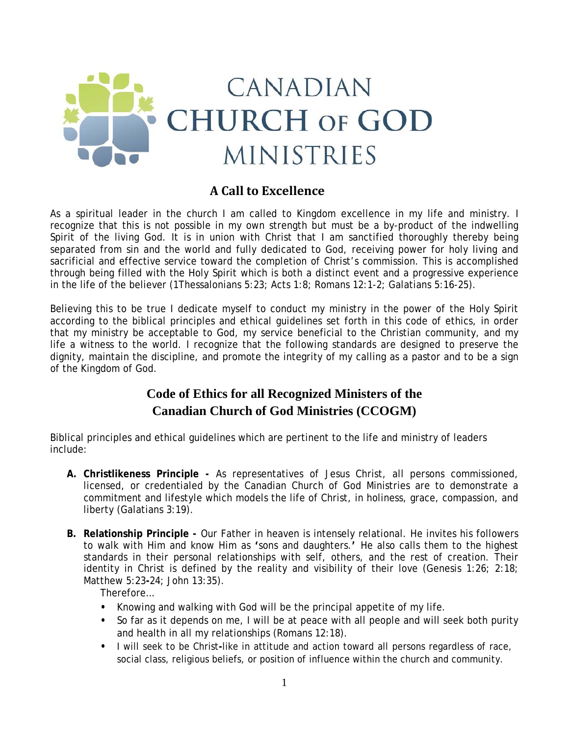

## **A Call to Excellence**

As a spiritual leader in the church I am called to Kingdom excellence in my life and ministry. I recognize that this is not possible in my own strength but must be a by-product of the indwelling Spirit of the living God. It is in union with Christ that I am sanctified thoroughly thereby being separated from sin and the world and fully dedicated to God, receiving power for holy living and sacrificial and effective service toward the completion of Christ's commission. This is accomplished through being filled with the Holy Spirit which is both a distinct event and a progressive experience in the life of the believer (1Thessalonians 5:23; Acts 1:8; Romans 12:1-2; Galatians 5:16-25).

Believing this to be true I dedicate myself to conduct my ministry in the power of the Holy Spirit according to the biblical principles and ethical guidelines set forth in this code of ethics, in order that my ministry be acceptable to God, my service beneficial to the Christian community, and my life a witness to the world. I recognize that the following standards are designed to preserve the dignity, maintain the discipline, and promote the integrity of my calling as a pastor and to be a sign of the Kingdom of God.

## **Code of Ethics for all Recognized Ministers of the Canadian Church of God Ministries (CCOGM)**

Biblical principles and ethical guidelines which are pertinent to the life and ministry of leaders include:

- **A. Christlikeness Principle -** As representatives of Jesus Christ, all persons commissioned, licensed, or credentialed by the Canadian Church of God Ministries are to demonstrate a commitment and lifestyle which models the life of Christ, in holiness, grace, compassion, and liberty (Galatians 3:19).
- **B. Relationship Principle -** Our Father in heaven is intensely relational. He invites his followers to walk with Him and know Him as **'**sons and daughters.**'** He also calls them to the highest standards in their personal relationships with self, others, and the rest of creation. Their identity in Christ is defined by the reality and visibility of their love (Genesis 1:26; 2:18; Matthew 5:23**-**24; John 13:35).

Therefore…

- **•** Knowing and walking with God will be the principal appetite of my life.
- **•** So far as it depends on me, I will be at peace with all people and will seek both purity and health in all my relationships (Romans 12:18).
- **•** I will seek to be Christ**-**like in attitude and action toward all persons regardless of race, social class, religious beliefs, or position of influence within the church and community.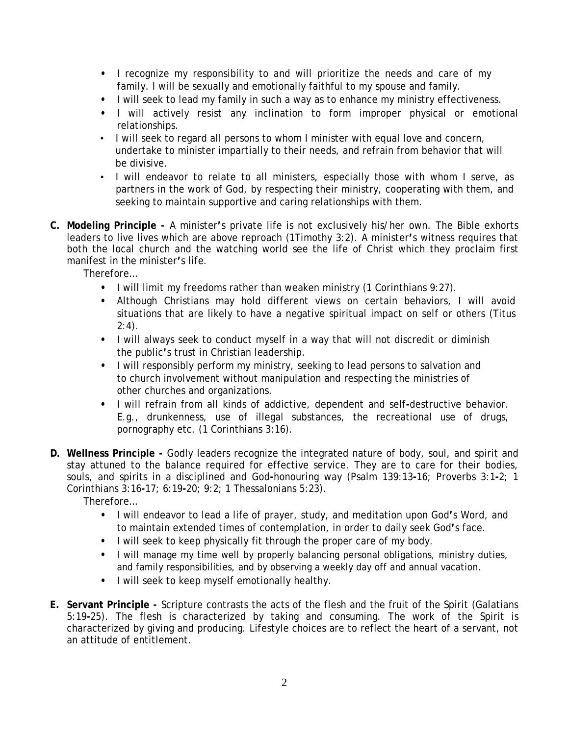- **•** I recognize my responsibility to and will prioritize the needs and care of my family. I will be sexually and emotionally faithful to my spouse and family.
- **•** I will seek to lead my family in such a way as to enhance my ministry effectiveness.
- **•** I will actively resist any inclination to form improper physical or emotional relationships.
- I will seek to regard all persons to whom I minister with equal love and concern, undertake to minister impartially to their needs, and refrain from behavior that will be divisive.
- I will endeavor to relate to all ministers, especially those with whom I serve, as partners in the work of God, by respecting their ministry, cooperating with them, and seeking to maintain supportive and caring relationships with them.
- **C. Modeling Principle -** A minister**'**s private life is not exclusively his/her own. The Bible exhorts leaders to live lives which are above reproach (1Timothy 3:2). A minister**'**s witness requires that both the local church and the watching world see the life of Christ which they proclaim first manifest in the minister**'**s life.

Therefore…

- **•** I will limit my freedoms rather than weaken ministry (1 Corinthians 9:27).
- **•** Although Christians may hold different views on certain behaviors, I will avoid situations that are likely to have a negative spiritual impact on self or others (Titus  $2:4$ ).
- **•** I will always seek to conduct myself in a way that will not discredit or diminish the public**'**s trust in Christian leadership.
- **•** I will responsibly perform my ministry, seeking to lead persons to salvation and to church involvement without manipulation and respecting the ministries of other churches and organizations.
- **•** I will refrain from all kinds of addictive, dependent and self**-**destructive behavior. E.g., drunkenness, use of illegal substances, the recreational use of drugs, pornography etc. (1 Corinthians 3:16).
- **D. Wellness Principle -** Godly leaders recognize the integrated nature of body, soul, and spirit and stay attuned to the balance required for effective service. They are to care for their bodies, souls, and spirits in a disciplined and God**-**honouring way (Psalm 139:13**-**16; Proverbs 3:1**-**2; 1 Corinthians 3:16**-**17; 6:19**-**20; 9:2; 1 Thessalonians 5:23).

Therefore…

- **•** I will endeavor to lead a life of prayer, study, and meditation upon God**'**s Word, and to maintain extended times of contemplation, in order to daily seek God**'**s face.
- **•** I will seek to keep physically fit through the proper care of my body.
- **•** I will manage my time well by properly balancing personal obligations, ministry duties, and family responsibilities, and by observing a weekly day off and annual vacation.
- **•** I will seek to keep myself emotionally healthy.
- **E. Servant Principle -** Scripture contrasts the acts of the flesh and the fruit of the Spirit (Galatians 5:19**-**25). The flesh is characterized by taking and consuming. The work of the Spirit is characterized by giving and producing. Lifestyle choices are to reflect the heart of a servant, not an attitude of entitlement.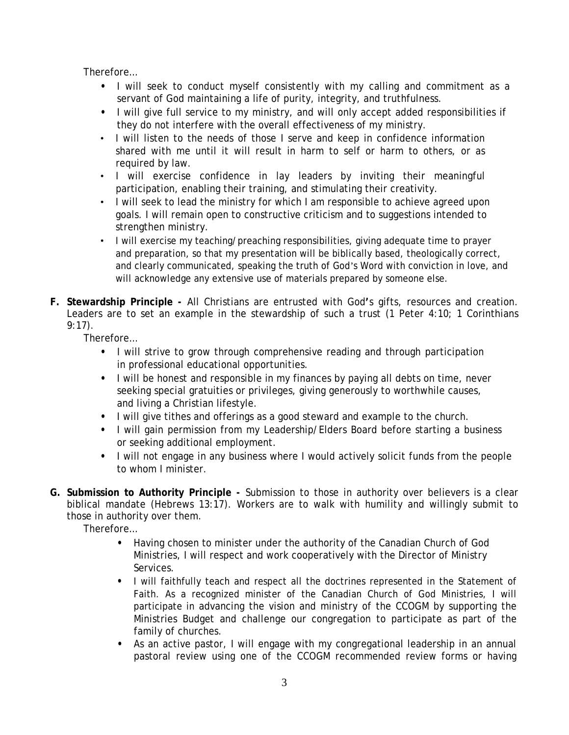Therefore…

- **•** I will seek to conduct myself consistently with my calling and commitment as a servant of God maintaining a life of purity, integrity, and truthfulness.
- **•** I will give full service to my ministry, and will only accept added responsibilities if they do not interfere with the overall effectiveness of my ministry.
- I will listen to the needs of those I serve and keep in confidence information shared with me until it will result in harm to self or harm to others, or as required by law.
- I will exercise confidence in lay leaders by inviting their meaningful participation, enabling their training, and stimulating their creativity.
- I will seek to lead the ministry for which I am responsible to achieve agreed upon goals. I will remain open to constructive criticism and to suggestions intended to strengthen ministry.
- I will exercise my teaching/preaching responsibilities, giving adequate time to prayer and preparation, so that my presentation will be biblically based, theologically correct, and clearly communicated, speaking the truth of God's Word with conviction in love, and will acknowledge any extensive use of materials prepared by someone else.
- **F. Stewardship Principle -** All Christians are entrusted with God**'**s gifts, resources and creation. Leaders are to set an example in the stewardship of such a trust (1 Peter 4:10; 1 Corinthians 9:17).

Therefore…

- **•** I will strive to grow through comprehensive reading and through participation in professional educational opportunities.
- **•** I will be honest and responsible in my finances by paying all debts on time, never seeking special gratuities or privileges, giving generously to worthwhile causes, and living a Christian lifestyle.
- **•** I will give tithes and offerings as a good steward and example to the church.
- **•** I will gain permission from my Leadership/Elders Board before starting a business or seeking additional employment.
- **•** I will not engage in any business where I would actively solicit funds from the people to whom I minister.
- **G. Submission to Authority Principle -** Submission to those in authority over believers is a clear biblical mandate (Hebrews 13:17). Workers are to walk with humility and willingly submit to those in authority over them.

Therefore…

- **•** Having chosen to minister under the authority of the Canadian Church of God Ministries, I will respect and work cooperatively with the Director of Ministry Services.
- **•** I will faithfully teach and respect all the doctrines represented in the Statement of Faith. As a recognized minister of the Canadian Church of God Ministries, I will participate in advancing the vision and ministry of the CCOGM by supporting the Ministries Budget and challenge our congregation to participate as part of the family of churches.
- **•** As an active pastor, I will engage with my congregational leadership in an annual pastoral review using one of the CCOGM recommended review forms or having